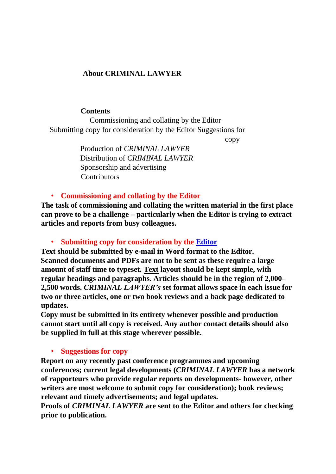#### **About CRIMINAL LAWYER**

#### **Contents**

Commissioning and collating by the Editor Submitting copy for consideration by the Editor Suggestions for

copy

Production of *CRIMINAL LAWYER*  Distribution of *CRIMINAL LAWYER*  Sponsorship and advertising **Contributors** 

• **Commissioning and collating by the Editor** 

**The task of commissioning and collating the written material in the first place can prove to be a challenge – particularly when the Editor is trying to extract articles and reports from busy colleagues.** 

• **Submitting copy for consideration by the Editor**

**Text should be submitted by e-mail in Word format to the Editor. Scanned documents and PDFs are not to be sent as these require a large amount of staff time to typeset. Text layout should be kept simple, with regular headings and paragraphs. Articles should be in the region of 2,000– 2,500 words.** *CRIMINAL LAWYER's* **set format allows space in each issue for two or three articles, one or two book reviews and a back page dedicated to updates.** 

**Copy must be submitted in its entirety whenever possible and production cannot start until all copy is received. Any author contact details should also be supplied in full at this stage wherever possible.** 

#### • **Suggestions for copy**

**Report on any recently past conference programmes and upcoming conferences; current legal developments (***CRIMINAL LAWYER* **has a network of rapporteurs who provide regular reports on developments- however, other writers are most welcome to submit copy for consideration); book reviews; relevant and timely advertisements; and legal updates.** 

**Proofs of** *CRIMINAL LAWYER* **are sent to the Editor and others for checking prior to publication.**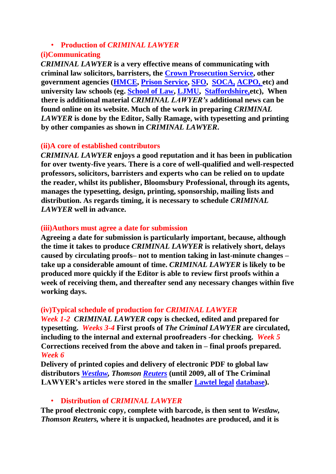• **Production of** *CRIMINAL LAWYER* 

## **(i)Communicating**

*CRIMINAL LAWYER* **is a very effective means of communicating with criminal law solicitors, barristers, the Crown Prosecution Service, other government agencies (HMCE, Prison Service, SFO, SOCA, ACPO, etc) and university law schools (eg. School of Law, LJMU, Staffordshire,etc), When there is additional material** *CRIMINAL LAWYER's* **additional news can be found online on its website. Much of the work in preparing** *CRIMINAL LAWYER* **is done by the Editor, Sally Ramage, with typesetting and printing by other companies as shown in** *CRIMINAL LAWYER***.** 

## **(ii)A core of established contributors**

*CRIMINAL LAWYER* **enjoys a good reputation and it has been in publication for over twenty-five years. There is a core of well-qualified and well-respected professors, solicitors, barristers and experts who can be relied on to update the reader, whilst its publisher, Bloomsbury Professional, through its agents, manages the typesetting, design, printing, sponsorship, mailing lists and distribution. As regards timing, it is necessary to schedule** *CRIMINAL LAWYER* **well in advance.** 

## **(iii)Authors must agree a date for submission**

**Agreeing a date for submission is particularly important, because, although the time it takes to produce** *CRIMINAL LAWYER* **is relatively short, delays caused by circulating proofs– not to mention taking in last-minute changes – take up a considerable amount of time.** *CRIMINAL LAWYER* **is likely to be produced more quickly if the Editor is able to review first proofs within a week of receiving them, and thereafter send any necessary changes within five working days.** 

## **(iv)Typical schedule of production for** *CRIMINAL LAWYER*

*Week 1-2 CRIMINAL LAWYER* **copy is checked, edited and prepared for typesetting.** *Weeks 3-4* **First proofs of** *The Criminal LAWYER* **are circulated, including to the internal and external proofreaders -for checking.** *Week 5*  **Corrections received from the above and taken in – final proofs prepared.**  *Week 6* 

**Delivery of printed copies and delivery of electronic PDF to global law distributors** *Westlaw, Thomson Reuters* **(until 2009, all of The Criminal LAWYER's articles were stored in the smaller Lawtel legal database).**

## • **Distribution of** *CRIMINAL LAWYER*

**The proof electronic copy, complete with barcode, is then sent to** *Westlaw, Thomson Reuters,* **where it is unpacked, headnotes are produced, and it is**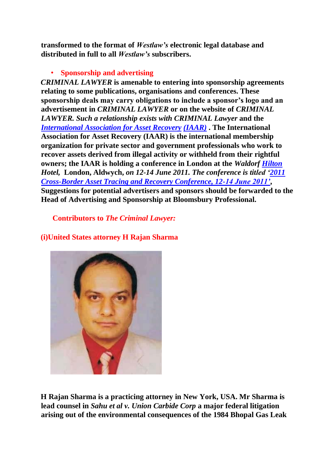**transformed to the format of** *Westlaw's* **electronic legal database and distributed in full to all** *Westlaw's* **subscribers.**

## • **Sponsorship and advertising**

*CRIMINAL LAWYER* **is amenable to entering into sponsorship agreements relating to some publications, organisations and conferences. These sponsorship deals may carry obligations to include a sponsor's logo and an advertisement in** *CRIMINAL LAWYER* **or on the website of** *CRIMINAL LAWYER. Such a relationship exists with CRIMINAL Lawyer* **and the** *International Association for Asset Recovery (IAAR)* **. The International Association for Asset Recovery (IAAR) is the international membership organization for private sector and government professionals who work to recover assets derived from illegal activity or withheld from their rightful owners; the IAAR is holding a conference in London at the** *Waldorf Hilton Hotel,* **London, Aldwych,** *on 12-14 June 2011. The conference is titled '2011 Cross-Border Asset Tracing and Recovery Conference, 12-14 June 2011'***, Suggestions for potential advertisers and sponsors should be forwarded to the Head of Advertising and Sponsorship at Bloomsbury Professional.** 

## **Contributors to** *The Criminal Lawyer:*

#### **(i)United States attorney H Rajan Sharma**



**H Rajan Sharma is a practicing attorney in New York, USA. Mr Sharma is lead counsel in** *Sahu et al v. Union Carbide Corp* **a major federal litigation arising out of the environmental consequences of the 1984 Bhopal Gas Leak**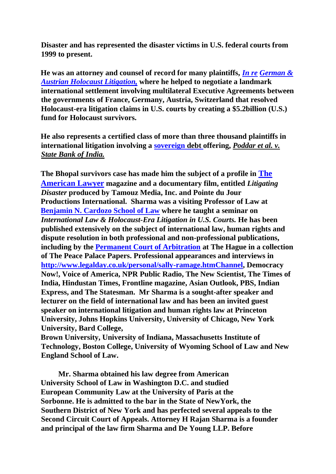**Disaster and has represented the disaster victims in U.S. federal courts from 1999 to present.** 

**He was an attorney and counsel of record for many plaintiffs,** *In re German & Austrian Holocaust Litigation,* **where he helped to negotiate a landmark international settlement involving multilateral Executive Agreements between the governments of France, Germany, Austria, Switzerland that resolved Holocaust-era litigation claims in U.S. courts by creating a \$5.2billion (U.S.) fund for Holocaust survivors.** 

**He also represents a certified class of more than three thousand plaintiffs in international litigation involving a sovereign debt offering,** *Poddar et al. v. State Bank of India.* 

**The Bhopal survivors case has made him the subject of a profile in The American Lawyer magazine and a documentary film, entitled** *Litigating Disaster* **produced by Tamouz Media, Inc. and Pointe du Jour Productions International. Sharma was a visiting Professor of Law at Benjamin N. Cardozo School of Law where he taught a seminar on**  *International Law & Holocaust-Era Litigation in U.S. Courts. He has been* **published extensively on the subject of international law, human rights and dispute resolution in both professional and non-professional publications, including by the Permanent Court of Arbitration at The Hague in a collection of The Peace Palace Papers. Professional appearances and interviews in http://www.legalday.co.uk/personal/sally-ramage.htmChannel, Democracy Now!, Voice of America, NPR Public Radio, The New Scientist, The Times of India, Hindustan Times, Frontline magazine, Asian Outlook, PBS, Indian Express, and The Statesman. Mr Sharma is a sought-after speaker and lecturer on the field of international law and has been an invited guest speaker on international litigation and human rights law at Princeton University, Johns Hopkins University, University of Chicago, New York University, Bard College,** 

**Brown University, University of Indiana, Massachusetts Institute of Technology, Boston College, University of Wyoming School of Law and New England School of Law.** 

**Mr. Sharma obtained his law degree from American University School of Law in Washington D.C. and studied European Community Law at the University of Paris at the Sorbonne. He is admitted to the bar in the State of NewYork, the Southern District of New York and has perfected several appeals to the Second Circuit Court of Appeals. Attorney H Rajan Sharma is a founder and principal of the law firm Sharma and De Young LLP. Before**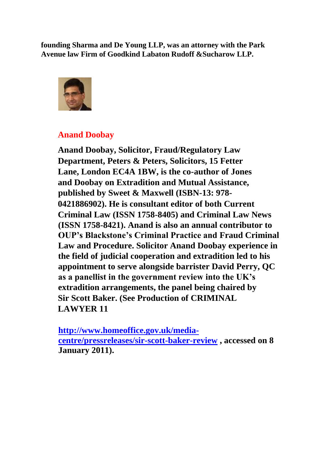**founding Sharma and De Young LLP, was an attorney with the Park Avenue law Firm of Goodkind Labaton Rudoff &Sucharow LLP.** 



## **Anand Doobay**

**Anand Doobay, Solicitor, Fraud/Regulatory Law Department, Peters & Peters, Solicitors, 15 Fetter Lane, London EC4A 1BW, is the co-author of Jones and Doobay on Extradition and Mutual Assistance, published by Sweet & Maxwell (ISBN-13: 978- 0421886902). He is consultant editor of both Current Criminal Law (ISSN 1758-8405) and Criminal Law News (ISSN 1758-8421). Anand is also an annual contributor to OUP's Blackstone's Criminal Practice and Fraud Criminal Law and Procedure. Solicitor Anand Doobay experience in the field of judicial cooperation and extradition led to his appointment to serve alongside barrister David Perry, QC as a panellist in the government review into the UK's extradition arrangements, the panel being chaired by Sir Scott Baker. (See Production of CRIMINAL LAWYER 11** 

**http://www.homeoffice.gov.uk/mediacentre/pressreleases/sir-scott-baker-review , accessed on 8 January 2011).**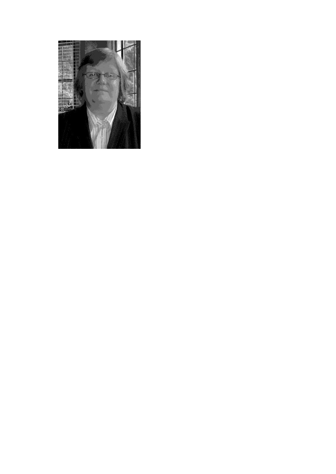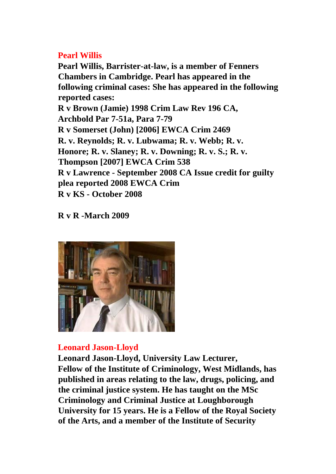# **Pearl Willis**

**Pearl Willis, Barrister-at-law, is a member of Fenners Chambers in Cambridge. Pearl has appeared in the following criminal cases: She has appeared in the following reported cases: R v Brown (Jamie) 1998 Crim Law Rev 196 CA, Archbold Par 7-51a, Para 7-79 R v Somerset (John) [2006] EWCA Crim 2469 R. v. Reynolds; R. v. Lubwama; R. v. Webb; R. v. Honore; R. v. Slaney; R. v. Downing; R. v. S.; R. v. Thompson [2007] EWCA Crim 538 R v Lawrence - September 2008 CA Issue credit for guilty plea reported 2008 EWCA Crim R v KS - October 2008** 

**R v R -March 2009** 



# **Leonard Jason-Lloyd**

**Leonard Jason-Lloyd, University Law Lecturer, Fellow of the Institute of Criminology, West Midlands, has published in areas relating to the law, drugs, policing, and the criminal justice system. He has taught on the MSc Criminology and Criminal Justice at Loughborough University for 15 years. He is a Fellow of the Royal Society of the Arts, and a member of the Institute of Security**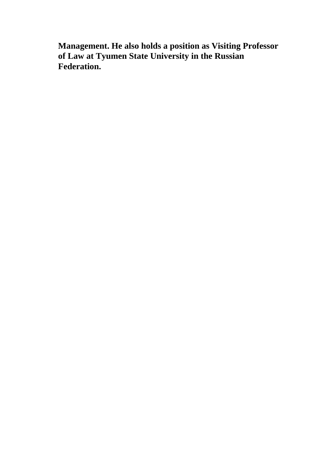**Management. He also holds a position as Visiting Professor of Law at Tyumen State University in the Russian Federation.**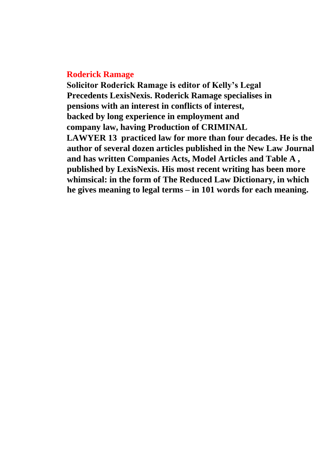#### **Roderick Ramage**

**Solicitor Roderick Ramage is editor of Kelly's Legal Precedents LexisNexis. Roderick Ramage specialises in pensions with an interest in conflicts of interest, backed by long experience in employment and company law, having Production of CRIMINAL LAWYER 13 practiced law for more than four decades. He is the author of several dozen articles published in the New Law Journal and has written Companies Acts, Model Articles and Table A , published by LexisNexis. His most recent writing has been more whimsical: in the form of The Reduced Law Dictionary, in which he gives meaning to legal terms – in 101 words for each meaning.**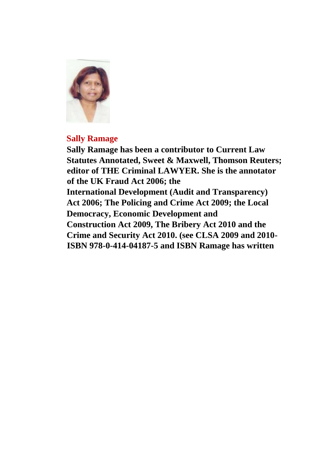

## **Sally Ramage**

**Sally Ramage has been a contributor to Current Law Statutes Annotated, Sweet & Maxwell, Thomson Reuters; editor of THE Criminal LAWYER. She is the annotator of the UK Fraud Act 2006; the International Development (Audit and Transparency) Act 2006; The Policing and Crime Act 2009; the Local Democracy, Economic Development and Construction Act 2009, The Bribery Act 2010 and the Crime and Security Act 2010. (see CLSA 2009 and 2010- ISBN 978-0-414-04187-5 and ISBN Ramage has written**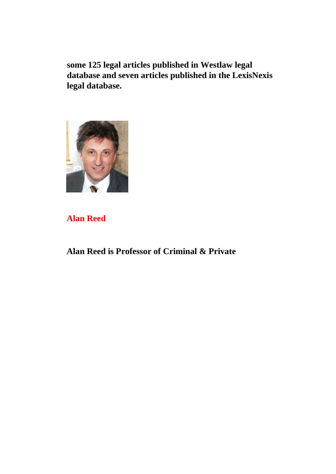**some 125 legal articles published in Westlaw legal database and seven articles published in the LexisNexis legal database.** 



**Alan Reed** 

**Alan Reed is Professor of Criminal & Private**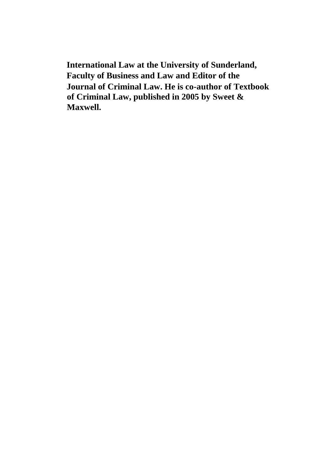**International Law at the University of Sunderland, Faculty of Business and Law and Editor of the Journal of Criminal Law. He is co-author of Textbook of Criminal Law, published in 2005 by Sweet & Maxwell.**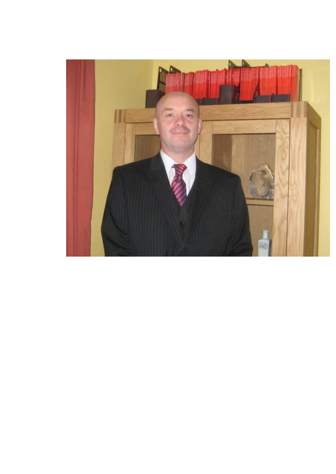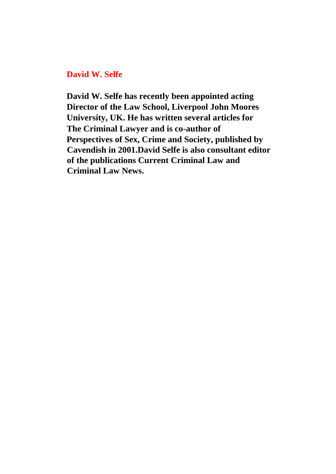## **David W. Selfe**

**David W. Selfe has recently been appointed acting Director of the Law School, Liverpool John Moores University, UK. He has written several articles for The Criminal Lawyer and is co-author of Perspectives of Sex, Crime and Society, published by Cavendish in 2001.David Selfe is also consultant editor of the publications Current Criminal Law and Criminal Law News.**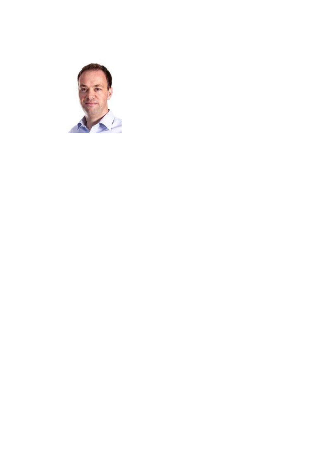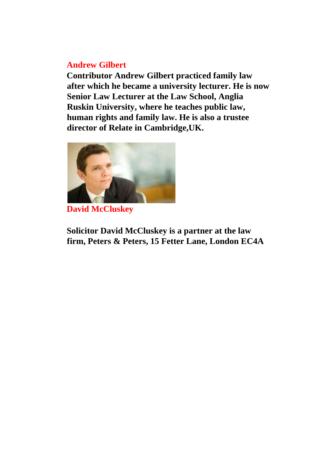## **Andrew Gilbert**

**Contributor Andrew Gilbert practiced family law after which he became a university lecturer. He is now Senior Law Lecturer at the Law School, Anglia Ruskin University, where he teaches public law, human rights and family law. He is also a trustee director of Relate in Cambridge,UK.** 



**David McCluskey** 

**Solicitor David McCluskey is a partner at the law firm, Peters & Peters, 15 Fetter Lane, London EC4A**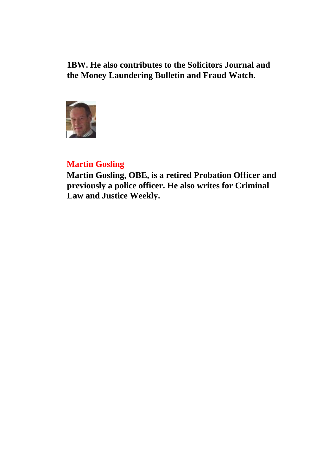**1BW. He also contributes to the Solicitors Journal and the Money Laundering Bulletin and Fraud Watch.** 



## **Martin Gosling**

**Martin Gosling, OBE, is a retired Probation Officer and previously a police officer. He also writes for Criminal Law and Justice Weekly.**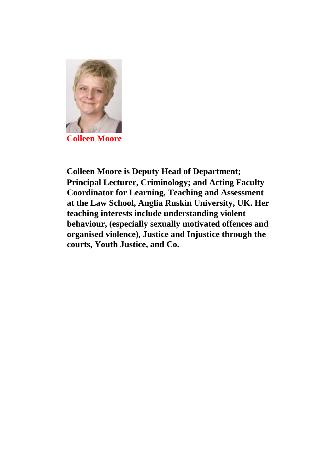

**Colleen Moore** 

**Colleen Moore is Deputy Head of Department; Principal Lecturer, Criminology; and Acting Faculty Coordinator for Learning, Teaching and Assessment at the Law School, Anglia Ruskin University, UK. Her teaching interests include understanding violent behaviour, (especially sexually motivated offences and organised violence), Justice and Injustice through the courts, Youth Justice, and Co.**